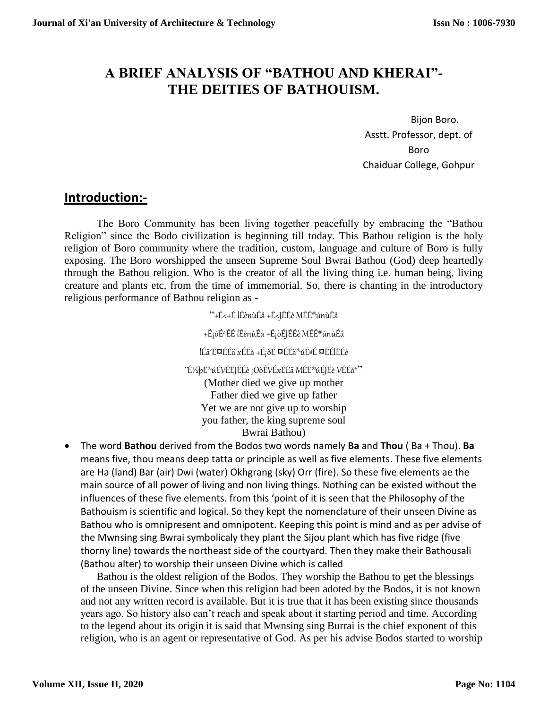## **A BRIEF ANALYSIS OF "BATHOU AND KHERAI"- THE DEITIES OF BATHOUISM.**

Bijon Boro. Asstt. Professor, dept. of Boro Chaiduar College, Gohpur

## **Introduction:-**

The Boro Community has been living together peacefully by embracing the "Bathou Religion" since the Bodo civilization is beginning till today. This Bathou religion is the holy religion of Boro community where the tradition, custom, language and culture of Boro is fully exposing. The Boro worshipped the unseen Supreme Soul Bwrai Bathou (God) deep heartedly through the Bathou religion. Who is the creator of all the living thing i.e. human being, living creature and plants etc. from the time of immemorial. So, there is chanting in the introductory religious performance of Bathou religion as -

"+É<+É lÉènùÉå +É<JÉÉè MÉÉ®únùÉå

 $+$ É¡òɪÉÉ lÉènùÉå +É¡òÉJÉÉè MÉÉ®únùÉå

lÉä´É¤ÉÉä xÉÉå +É¡òÉ ¤ÉÉä®úÉªÉ ¤ÉÉlÉÉè

¨É½þÉ®úÉVÉÉJÉÉè ¡ÖòÊVÉxÉÉä MÉÉ®úÉJÉè VÉÉå\*"

(Mother died we give up mother Father died we give up father Yet we are not give up to worship you father, the king supreme soul Bwrai Bathou)

 The word **Bathou** derived from the Bodos two words namely **Ba** and **Thou** ( Ba + Thou). **Ba** means five, thou means deep tatta or principle as well as five elements. These five elements are Ha (land) Bar (air) Dwi (water) Okhgrang (sky) Orr (fire). So these five elements ae the main source of all power of living and non living things. Nothing can be existed without the influences of these five elements. from this 'point of it is seen that the Philosophy of the Bathouism is scientific and logical. So they kept the nomenclature of their unseen Divine as Bathou who is omnipresent and omnipotent. Keeping this point is mind and as per advise of the Mwnsing sing Bwrai symbolicaly they plant the Sijou plant which has five ridge (five thorny line) towards the northeast side of the courtyard. Then they make their Bathousali (Bathou alter) to worship their unseen Divine which is called

Bathou is the oldest religion of the Bodos. They worship the Bathou to get the blessings of the unseen Divine. Since when this religion had been adoted by the Bodos, it is not known and not any written record is available. But it is true that it has been existing since thousands years ago. So history also can't reach and speak about it starting period and time. According to the legend about its origin it is said that Mwnsing sing Burrai is the chief exponent of this religion, who is an agent or representative of God. As per his advise Bodos started to worship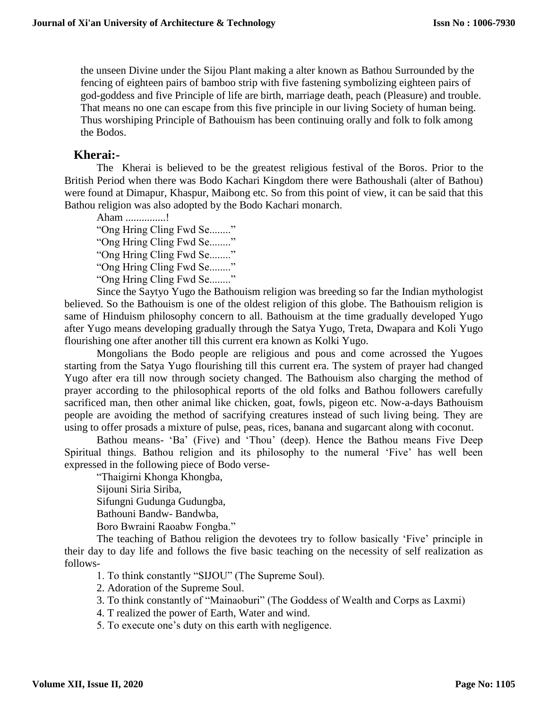the unseen Divine under the Sijou Plant making a alter known as Bathou Surrounded by the fencing of eighteen pairs of bamboo strip with five fastening symbolizing eighteen pairs of god-goddess and five Principle of life are birth, marriage death, peach (Pleasure) and trouble. That means no one can escape from this five principle in our living Society of human being. Thus worshiping Principle of Bathouism has been continuing orally and folk to folk among the Bodos.

## **Kherai:-**

The Kherai is believed to be the greatest religious festival of the Boros. Prior to the British Period when there was Bodo Kachari Kingdom there were Bathoushali (alter of Bathou) were found at Dimapur, Khaspur, Maibong etc. So from this point of view, it can be said that this Bathou religion was also adopted by the Bodo Kachari monarch.

Aham ...............! "Ong Hring Cling Fwd Se........" "Ong Hring Cling Fwd Se........" "Ong Hring Cling Fwd Se........" "Ong Hring Cling Fwd Se........" "Ong Hring Cling Fwd Se........"

Since the Saytyo Yugo the Bathouism religion was breeding so far the Indian mythologist believed. So the Bathouism is one of the oldest religion of this globe. The Bathouism religion is same of Hinduism philosophy concern to all. Bathouism at the time gradually developed Yugo after Yugo means developing gradually through the Satya Yugo, Treta, Dwapara and Koli Yugo flourishing one after another till this current era known as Kolki Yugo.

Mongolians the Bodo people are religious and pous and come acrossed the Yugoes starting from the Satya Yugo flourishing till this current era. The system of prayer had changed Yugo after era till now through society changed. The Bathouism also charging the method of prayer according to the philosophical reports of the old folks and Bathou followers carefully sacrificed man, then other animal like chicken, goat, fowls, pigeon etc. Now-a-days Bathouism people are avoiding the method of sacrifying creatures instead of such living being. They are using to offer prosads a mixture of pulse, peas, rices, banana and sugarcant along with coconut.

Bathou means- 'Ba' (Five) and 'Thou' (deep). Hence the Bathou means Five Deep Spiritual things. Bathou religion and its philosophy to the numeral 'Five' has well been expressed in the following piece of Bodo verse-

"Thaigirni Khonga Khongba, Sijouni Siria Siriba, Sifungni Gudunga Gudungba, Bathouni Bandw- Bandwba, Boro Bwraini Raoabw Fongba."

The teaching of Bathou religion the devotees try to follow basically 'Five' principle in their day to day life and follows the five basic teaching on the necessity of self realization as follows-

1. To think constantly "SIJOU" (The Supreme Soul).

2. Adoration of the Supreme Soul.

3. To think constantly of "Mainaoburi" (The Goddess of Wealth and Corps as Laxmi)

4. T realized the power of Earth, Water and wind.

5. To execute one's duty on this earth with negligence.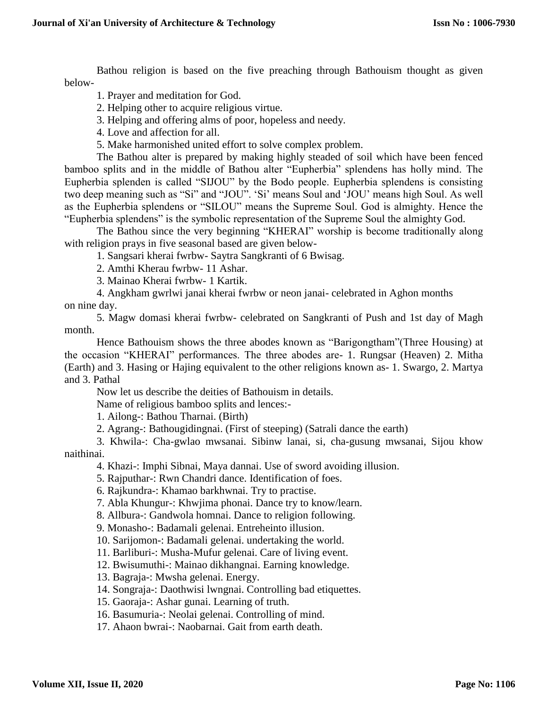Bathou religion is based on the five preaching through Bathouism thought as given below-

1. Prayer and meditation for God.

- 2. Helping other to acquire religious virtue.
- 3. Helping and offering alms of poor, hopeless and needy.
- 4. Love and affection for all.
- 5. Make harmonished united effort to solve complex problem.

The Bathou alter is prepared by making highly steaded of soil which have been fenced bamboo splits and in the middle of Bathou alter "Eupherbia" splendens has holly mind. The Eupherbia splenden is called "SIJOU" by the Bodo people. Eupherbia splendens is consisting two deep meaning such as "Si" and "JOU". 'Si' means Soul and 'JOU' means high Soul. As well as the Eupherbia splendens or "SILOU" means the Supreme Soul. God is almighty. Hence the "Eupherbia splendens" is the symbolic representation of the Supreme Soul the almighty God.

The Bathou since the very beginning "KHERAI" worship is become traditionally along with religion prays in five seasonal based are given below-

1. Sangsari kherai fwrbw- Saytra Sangkranti of 6 Bwisag.

2. Amthi Kherau fwrbw- 11 Ashar.

3. Mainao Kherai fwrbw- 1 Kartik.

4. Angkham gwrlwi janai kherai fwrbw or neon janai- celebrated in Aghon months on nine day.

5. Magw domasi kherai fwrbw- celebrated on Sangkranti of Push and 1st day of Magh month.

Hence Bathouism shows the three abodes known as "Barigongtham"(Three Housing) at the occasion "KHERAI" performances. The three abodes are- 1. Rungsar (Heaven) 2. Mitha (Earth) and 3. Hasing or Hajing equivalent to the other religions known as- 1. Swargo, 2. Martya and 3. Pathal

Now let us describe the deities of Bathouism in details.

Name of religious bamboo splits and lences:-

1. Ailong-: Bathou Tharnai. (Birth)

2. Agrang-: Bathougidingnai. (First of steeping) (Satrali dance the earth)

3. Khwila-: Cha-gwlao mwsanai. Sibinw lanai, si, cha-gusung mwsanai, Sijou khow naithinai.

4. Khazi-: Imphi Sibnai, Maya dannai. Use of sword avoiding illusion.

5. Rajputhar-: Rwn Chandri dance. Identification of foes.

6. Rajkundra-: Khamao barkhwnai. Try to practise.

7. Abla Khungur-: Khwjima phonai. Dance try to know/learn.

8. Allbura-: Gandwola homnai. Dance to religion following.

9. Monasho-: Badamali gelenai. Entreheinto illusion.

10. Sarijomon-: Badamali gelenai. undertaking the world.

11. Barliburi-: Musha-Mufur gelenai. Care of living event.

12. Bwisumuthi-: Mainao dikhangnai. Earning knowledge.

13. Bagraja-: Mwsha gelenai. Energy.

14. Songraja-: Daothwisi lwngnai. Controlling bad etiquettes.

15. Gaoraja-: Ashar gunai. Learning of truth.

16. Basumuria-: Neolai gelenai. Controlling of mind.

17. Ahaon bwrai-: Naobarnai. Gait from earth death.